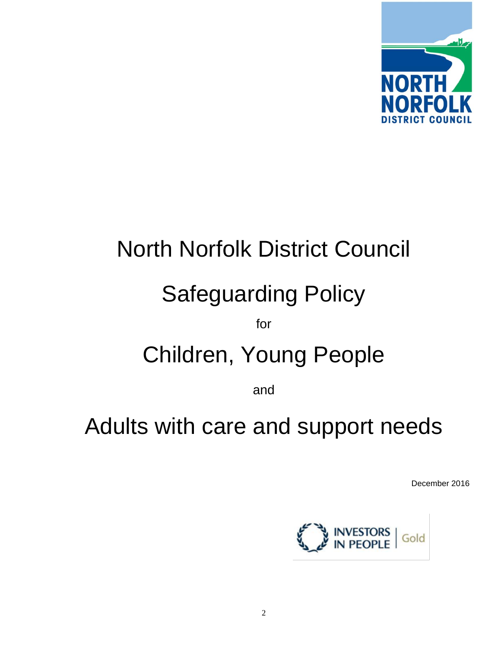

# North Norfolk District Council Safeguarding Policy for Children, Young People

and

## Adults with care and support needs

December 2016

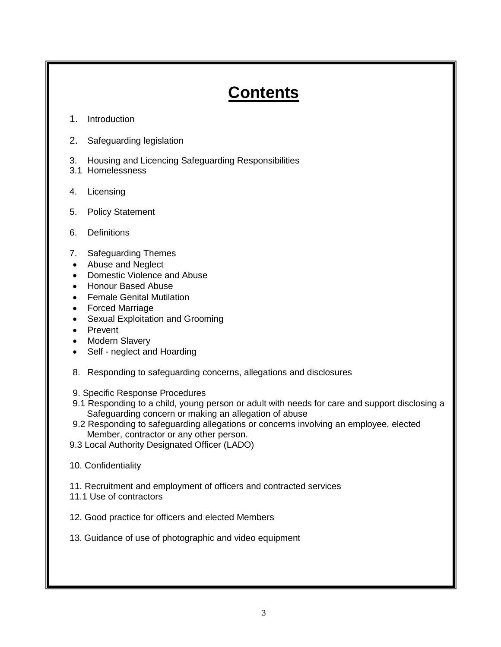## **Contents**

- 1. Introduction
- 2. Safeguarding legislation
- 3. Housing and Licencing Safeguarding Responsibilities
- 3.1 Homelessness
- 4. Licensing
- 5. Policy Statement
- 6. Definitions
- 7. Safeguarding Themes
- Abuse and Neglect
- Domestic Violence and Abuse
- Honour Based Abuse
- **•** Female Genital Mutilation
- Forced Marriage
- Sexual Exploitation and Grooming
- Prevent
- Modern Slavery
- Self neglect and Hoarding
- 8. Responding to safeguarding concerns, allegations and disclosures
- 9. Specific Response Procedures
- 9.1 Responding to a child, young person or adult with needs for care and support disclosing a Safeguarding concern or making an allegation of abuse
- 9.2 Responding to safeguarding allegations or concerns involving an employee, elected Member, contractor or any other person.
- 9.3 Local Authority Designated Officer (LADO)
- 10. Confidentiality
- 11. Recruitment and employment of officers and contracted services
- 11.1 Use of contractors
- 12. Good practice for officers and elected Members
- 13. Guidance of use of photographic and video equipment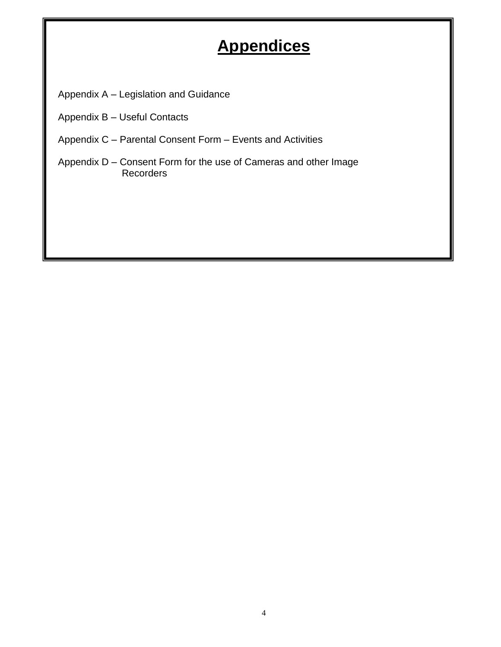## **Appendices**

Appendix A – Legislation and Guidance

- Appendix B Useful Contacts
- Appendix C Parental Consent Form Events and Activities
- Appendix D Consent Form for the use of Cameras and other Image Recorders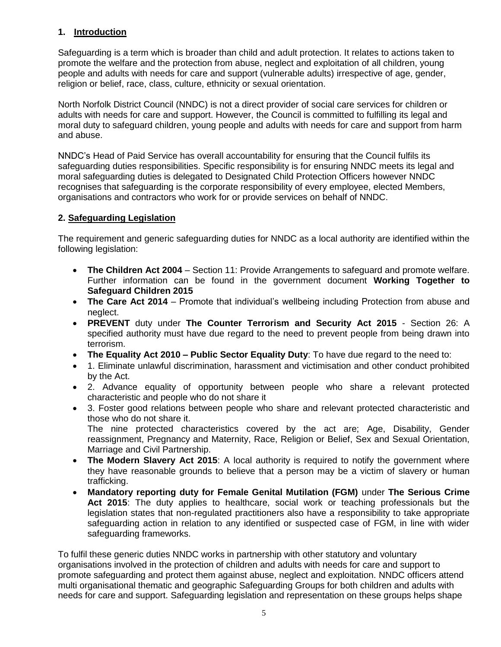#### **1. Introduction**

Safeguarding is a term which is broader than child and adult protection. It relates to actions taken to promote the welfare and the protection from abuse, neglect and exploitation of all children, young people and adults with needs for care and support (vulnerable adults) irrespective of age, gender, religion or belief, race, class, culture, ethnicity or sexual orientation.

North Norfolk District Council (NNDC) is not a direct provider of social care services for children or adults with needs for care and support. However, the Council is committed to fulfilling its legal and moral duty to safeguard children, young people and adults with needs for care and support from harm and abuse.

NNDC's Head of Paid Service has overall accountability for ensuring that the Council fulfils its safeguarding duties responsibilities. Specific responsibility is for ensuring NNDC meets its legal and moral safeguarding duties is delegated to Designated Child Protection Officers however NNDC recognises that safeguarding is the corporate responsibility of every employee, elected Members, organisations and contractors who work for or provide services on behalf of NNDC.

#### **2. Safeguarding Legislation**

The requirement and generic safeguarding duties for NNDC as a local authority are identified within the following legislation:

- **The Children Act 2004** Section 11: Provide Arrangements to safeguard and promote welfare. Further information can be found in the government document **Working Together to Safeguard Children 2015**
- **The Care Act 2014**  Promote that individual's wellbeing including Protection from abuse and neglect.
- **PREVENT** duty under **The Counter Terrorism and Security Act 2015** Section 26: A specified authority must have due regard to the need to prevent people from being drawn into terrorism.
- **The Equality Act 2010 – Public Sector Equality Duty**: To have due regard to the need to:
- 1. Eliminate unlawful discrimination, harassment and victimisation and other conduct prohibited by the Act.
- 2. Advance equality of opportunity between people who share a relevant protected characteristic and people who do not share it
- 3. Foster good relations between people who share and relevant protected characteristic and those who do not share it. The nine protected characteristics covered by the act are; Age, Disability, Gender

reassignment, Pregnancy and Maternity, Race, Religion or Belief, Sex and Sexual Orientation, Marriage and Civil Partnership.

- The Modern Slavery Act 2015: A local authority is required to notify the government where they have reasonable grounds to believe that a person may be a victim of slavery or human trafficking.
- **Mandatory reporting duty for Female Genital Mutilation (FGM)** under **The Serious Crime Act 2015**: The duty applies to healthcare, social work or teaching professionals but the legislation states that non-regulated practitioners also have a responsibility to take appropriate safeguarding action in relation to any identified or suspected case of FGM, in line with wider safeguarding frameworks.

To fulfil these generic duties NNDC works in partnership with other statutory and voluntary organisations involved in the protection of children and adults with needs for care and support to promote safeguarding and protect them against abuse, neglect and exploitation. NNDC officers attend multi organisational thematic and geographic Safeguarding Groups for both children and adults with needs for care and support. Safeguarding legislation and representation on these groups helps shape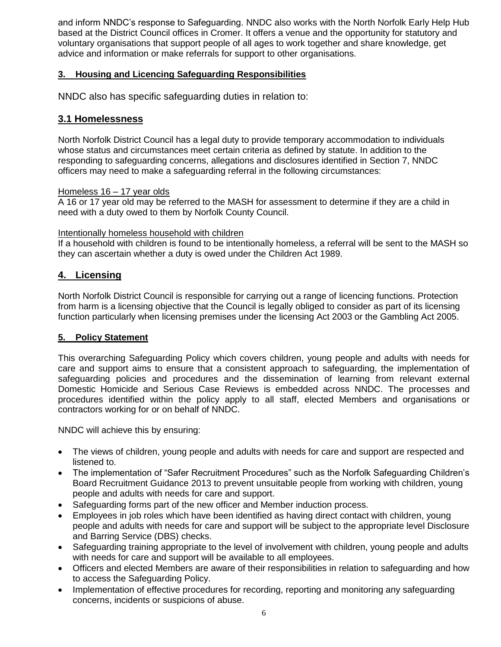and inform NNDC's response to Safeguarding. NNDC also works with the North Norfolk Early Help Hub based at the District Council offices in Cromer. It offers a venue and the opportunity for statutory and voluntary organisations that support people of all ages to work together and share knowledge, get advice and information or make referrals for support to other organisations.

#### **3. Housing and Licencing Safeguarding Responsibilities**

NNDC also has specific safeguarding duties in relation to:

#### **3.1 Homelessness**

North Norfolk District Council has a legal duty to provide temporary accommodation to individuals whose status and circumstances meet certain criteria as defined by statute. In addition to the responding to safeguarding concerns, allegations and disclosures identified in Section 7, NNDC officers may need to make a safeguarding referral in the following circumstances:

#### Homeless 16 – 17 year olds

A 16 or 17 year old may be referred to the MASH for assessment to determine if they are a child in need with a duty owed to them by Norfolk County Council.

#### Intentionally homeless household with children

If a household with children is found to be intentionally homeless, a referral will be sent to the MASH so they can ascertain whether a duty is owed under the Children Act 1989.

#### **4. Licensing**

North Norfolk District Council is responsible for carrying out a range of licencing functions. Protection from harm is a licensing objective that the Council is legally obliged to consider as part of its licensing function particularly when licensing premises under the licensing Act 2003 or the Gambling Act 2005.

#### **5. Policy Statement**

This overarching Safeguarding Policy which covers children, young people and adults with needs for care and support aims to ensure that a consistent approach to safeguarding, the implementation of safeguarding policies and procedures and the dissemination of learning from relevant external Domestic Homicide and Serious Case Reviews is embedded across NNDC. The processes and procedures identified within the policy apply to all staff, elected Members and organisations or contractors working for or on behalf of NNDC.

NNDC will achieve this by ensuring:

- The views of children, young people and adults with needs for care and support are respected and listened to.
- The implementation of "Safer Recruitment Procedures" such as the Norfolk Safeguarding Children's Board Recruitment Guidance 2013 to prevent unsuitable people from working with children, young people and adults with needs for care and support.
- Safeguarding forms part of the new officer and Member induction process.
- Employees in job roles which have been identified as having direct contact with children, young people and adults with needs for care and support will be subject to the appropriate level Disclosure and Barring Service (DBS) checks.
- Safeguarding training appropriate to the level of involvement with children, young people and adults with needs for care and support will be available to all employees.
- Officers and elected Members are aware of their responsibilities in relation to safeguarding and how to access the Safeguarding Policy.
- Implementation of effective procedures for recording, reporting and monitoring any safeguarding concerns, incidents or suspicions of abuse.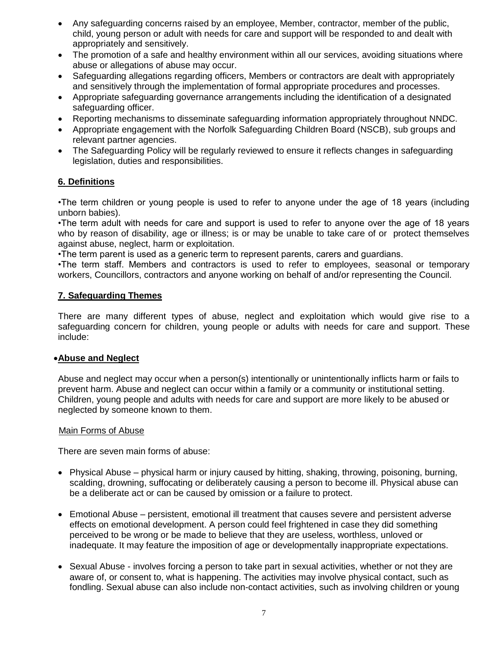- Any safeguarding concerns raised by an employee, Member, contractor, member of the public, child, young person or adult with needs for care and support will be responded to and dealt with appropriately and sensitively.
- The promotion of a safe and healthy environment within all our services, avoiding situations where abuse or allegations of abuse may occur.
- Safeguarding allegations regarding officers, Members or contractors are dealt with appropriately and sensitively through the implementation of formal appropriate procedures and processes.
- Appropriate safeguarding governance arrangements including the identification of a designated safeguarding officer.
- Reporting mechanisms to disseminate safeguarding information appropriately throughout NNDC.
- Appropriate engagement with the Norfolk Safeguarding Children Board (NSCB), sub groups and relevant partner agencies.
- The Safeguarding Policy will be regularly reviewed to ensure it reflects changes in safeguarding legislation, duties and responsibilities.

#### **6. Definitions**

•The term children or young people is used to refer to anyone under the age of 18 years (including unborn babies).

•The term adult with needs for care and support is used to refer to anyone over the age of 18 years who by reason of disability, age or illness; is or may be unable to take care of or protect themselves against abuse, neglect, harm or exploitation.

•The term parent is used as a generic term to represent parents, carers and guardians.

•The term staff. Members and contractors is used to refer to employees, seasonal or temporary workers, Councillors, contractors and anyone working on behalf of and/or representing the Council.

#### **7. Safeguarding Themes**

There are many different types of abuse, neglect and exploitation which would give rise to a safeguarding concern for children, young people or adults with needs for care and support. These include:

#### **Abuse and Neglect**

Abuse and neglect may occur when a person(s) intentionally or unintentionally inflicts harm or fails to prevent harm. Abuse and neglect can occur within a family or a community or institutional setting. Children, young people and adults with needs for care and support are more likely to be abused or neglected by someone known to them.

#### Main Forms of Abuse

There are seven main forms of abuse:

- Physical Abuse physical harm or injury caused by hitting, shaking, throwing, poisoning, burning, scalding, drowning, suffocating or deliberately causing a person to become ill. Physical abuse can be a deliberate act or can be caused by omission or a failure to protect.
- Emotional Abuse persistent, emotional ill treatment that causes severe and persistent adverse effects on emotional development. A person could feel frightened in case they did something perceived to be wrong or be made to believe that they are useless, worthless, unloved or inadequate. It may feature the imposition of age or developmentally inappropriate expectations.
- Sexual Abuse involves forcing a person to take part in sexual activities, whether or not they are aware of, or consent to, what is happening. The activities may involve physical contact, such as fondling. Sexual abuse can also include non-contact activities, such as involving children or young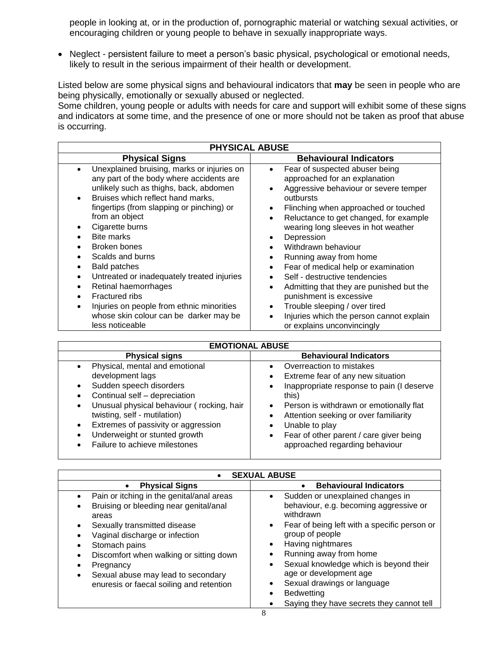people in looking at, or in the production of, pornographic material or watching sexual activities, or encouraging children or young people to behave in sexually inappropriate ways.

• Neglect - persistent failure to meet a person's basic physical, psychological or emotional needs, likely to result in the serious impairment of their health or development.

Listed below are some physical signs and behavioural indicators that **may** be seen in people who are being physically, emotionally or sexually abused or neglected.

Some children, young people or adults with needs for care and support will exhibit some of these signs and indicators at some time, and the presence of one or more should not be taken as proof that abuse is occurring.

| <b>PHYSICAL ABUSE</b>                                                                                                                                                                                                                                                                                                                                                                                              |                                                                                                                                                                                                                                                                                                                                                                                                                                                                                                                                                        |  |  |  |
|--------------------------------------------------------------------------------------------------------------------------------------------------------------------------------------------------------------------------------------------------------------------------------------------------------------------------------------------------------------------------------------------------------------------|--------------------------------------------------------------------------------------------------------------------------------------------------------------------------------------------------------------------------------------------------------------------------------------------------------------------------------------------------------------------------------------------------------------------------------------------------------------------------------------------------------------------------------------------------------|--|--|--|
| <b>Physical Signs</b>                                                                                                                                                                                                                                                                                                                                                                                              | <b>Behavioural Indicators</b>                                                                                                                                                                                                                                                                                                                                                                                                                                                                                                                          |  |  |  |
| Unexplained bruising, marks or injuries on<br>any part of the body where accidents are<br>unlikely such as thighs, back, abdomen<br>Bruises which reflect hand marks,<br>٠<br>fingertips (from slapping or pinching) or<br>from an object<br>Cigarette burns<br><b>Bite marks</b><br>Broken bones<br>Scalds and burns<br><b>Bald patches</b><br>Untreated or inadequately treated injuries<br>Retinal haemorrhages | Fear of suspected abuser being<br>$\bullet$<br>approached for an explanation<br>Aggressive behaviour or severe temper<br>$\bullet$<br>outbursts<br>Flinching when approached or touched<br>$\bullet$<br>Reluctance to get changed, for example<br>$\bullet$<br>wearing long sleeves in hot weather<br>Depression<br>$\bullet$<br>Withdrawn behaviour<br>$\bullet$<br>Running away from home<br>$\bullet$<br>Fear of medical help or examination<br>$\bullet$<br>Self - destructive tendencies<br>$\bullet$<br>Admitting that they are punished but the |  |  |  |
| Fractured ribs                                                                                                                                                                                                                                                                                                                                                                                                     | $\bullet$<br>punishment is excessive                                                                                                                                                                                                                                                                                                                                                                                                                                                                                                                   |  |  |  |
| Injuries on people from ethnic minorities<br>whose skin colour can be darker may be<br>less noticeable                                                                                                                                                                                                                                                                                                             | Trouble sleeping / over tired<br>$\bullet$<br>Injuries which the person cannot explain<br>$\bullet$<br>or explains unconvincingly                                                                                                                                                                                                                                                                                                                                                                                                                      |  |  |  |

| <b>EMOTIONAL ABUSE</b>                                                                                                                                                                                                                                                                                                                      |                                                                                                                                                                                                                                                                                                                                                                                                   |  |  |
|---------------------------------------------------------------------------------------------------------------------------------------------------------------------------------------------------------------------------------------------------------------------------------------------------------------------------------------------|---------------------------------------------------------------------------------------------------------------------------------------------------------------------------------------------------------------------------------------------------------------------------------------------------------------------------------------------------------------------------------------------------|--|--|
| <b>Physical signs</b>                                                                                                                                                                                                                                                                                                                       | <b>Behavioural Indicators</b>                                                                                                                                                                                                                                                                                                                                                                     |  |  |
| Physical, mental and emotional<br>development lags<br>Sudden speech disorders<br>$\bullet$<br>Continual self - depreciation<br>Unusual physical behaviour (rocking, hair<br>$\bullet$<br>twisting, self - mutilation)<br>Extremes of passivity or aggression<br>$\bullet$<br>Underweight or stunted growth<br>Failure to achieve milestones | Overreaction to mistakes<br>$\bullet$<br>Extreme fear of any new situation<br>$\bullet$<br>Inappropriate response to pain (I deserve<br>$\bullet$<br>this)<br>Person is withdrawn or emotionally flat<br>$\bullet$<br>Attention seeking or over familiarity<br>$\bullet$<br>Unable to play<br>$\bullet$<br>Fear of other parent / care giver being<br>$\bullet$<br>approached regarding behaviour |  |  |

| <b>SEXUAL ABUSE</b>                                                                                                                                                                                                                                                                                                                         |                                                                                                                                                                                                                                                                                                                                                                                                                                                                                |  |  |
|---------------------------------------------------------------------------------------------------------------------------------------------------------------------------------------------------------------------------------------------------------------------------------------------------------------------------------------------|--------------------------------------------------------------------------------------------------------------------------------------------------------------------------------------------------------------------------------------------------------------------------------------------------------------------------------------------------------------------------------------------------------------------------------------------------------------------------------|--|--|
| <b>Physical Signs</b><br>$\bullet$                                                                                                                                                                                                                                                                                                          | <b>Behavioural Indicators</b><br>$\bullet$                                                                                                                                                                                                                                                                                                                                                                                                                                     |  |  |
| Pain or itching in the genital/anal areas<br>Bruising or bleeding near genital/anal<br>$\bullet$<br>areas<br>Sexually transmitted disease<br>Vaginal discharge or infection<br>Stomach pains<br>Discomfort when walking or sitting down<br>Pregnancy<br>Sexual abuse may lead to secondary<br>٠<br>enuresis or faecal soiling and retention | Sudden or unexplained changes in<br>$\bullet$<br>behaviour, e.g. becoming aggressive or<br>withdrawn<br>Fear of being left with a specific person or<br>$\bullet$<br>group of people<br>Having nightmares<br>$\bullet$<br>Running away from home<br>$\bullet$<br>Sexual knowledge which is beyond their<br>$\bullet$<br>age or development age<br>Sexual drawings or language<br>٠<br><b>Bedwetting</b><br>$\bullet$<br>Saying they have secrets they cannot tell<br>$\bullet$ |  |  |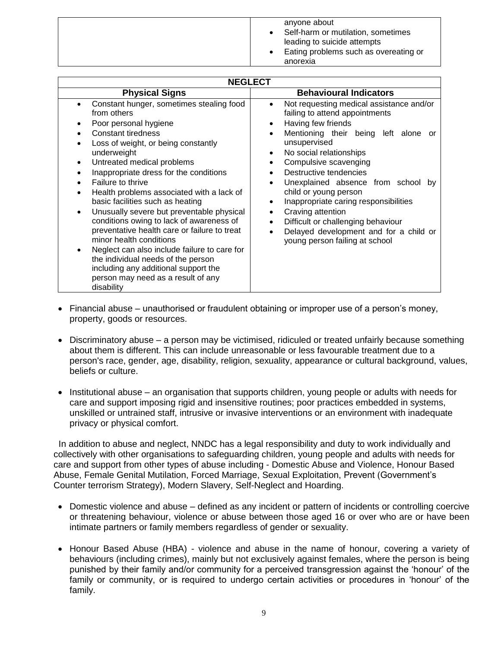| anyone about<br>Self-harm or mutilation, sometimes<br>leading to suicide attempts<br>Eating problems such as overeating or<br>anorexia |
|----------------------------------------------------------------------------------------------------------------------------------------|

| <b>NEGLECT</b>                                                                                                                                                                                                                                                                                                                                                                                                                                                                                                                                                                                                                                                                                        |                                                                                                                                                                                                                                                                                                                                                                                                                                                                                                                                                              |  |  |  |
|-------------------------------------------------------------------------------------------------------------------------------------------------------------------------------------------------------------------------------------------------------------------------------------------------------------------------------------------------------------------------------------------------------------------------------------------------------------------------------------------------------------------------------------------------------------------------------------------------------------------------------------------------------------------------------------------------------|--------------------------------------------------------------------------------------------------------------------------------------------------------------------------------------------------------------------------------------------------------------------------------------------------------------------------------------------------------------------------------------------------------------------------------------------------------------------------------------------------------------------------------------------------------------|--|--|--|
| <b>Physical Signs</b>                                                                                                                                                                                                                                                                                                                                                                                                                                                                                                                                                                                                                                                                                 | <b>Behavioural Indicators</b>                                                                                                                                                                                                                                                                                                                                                                                                                                                                                                                                |  |  |  |
| Constant hunger, sometimes stealing food<br>from others<br>Poor personal hygiene<br>Constant tiredness<br>Loss of weight, or being constantly<br>underweight<br>Untreated medical problems<br>Inappropriate dress for the conditions<br>Failure to thrive<br>Health problems associated with a lack of<br>basic facilities such as heating<br>Unusually severe but preventable physical<br>٠<br>conditions owing to lack of awareness of<br>preventative health care or failure to treat<br>minor health conditions<br>Neglect can also include failure to care for<br>the individual needs of the person<br>including any additional support the<br>person may need as a result of any<br>disability | Not requesting medical assistance and/or<br>failing to attend appointments<br>Having few friends<br>$\bullet$<br>Mentioning their being left alone<br>or<br>$\bullet$<br>unsupervised<br>No social relationships<br>$\bullet$<br>Compulsive scavenging<br>Destructive tendencies<br>Unexplained absence from school<br>bv<br>child or young person<br>Inappropriate caring responsibilities<br>$\bullet$<br>Craving attention<br>Difficult or challenging behaviour<br>$\bullet$<br>Delayed development and for a child or<br>young person failing at school |  |  |  |

- Financial abuse unauthorised or fraudulent obtaining or improper use of a person's money, property, goods or resources.
- Discriminatory abuse a person may be victimised, ridiculed or treated unfairly because something about them is different. This can include unreasonable or less favourable treatment due to a person's race, gender, age, disability, religion, sexuality, appearance or cultural background, values, beliefs or culture.
- Institutional abuse an organisation that supports children, young people or adults with needs for care and support imposing rigid and insensitive routines; poor practices embedded in systems, unskilled or untrained staff, intrusive or invasive interventions or an environment with inadequate privacy or physical comfort.

In addition to abuse and neglect, NNDC has a legal responsibility and duty to work individually and collectively with other organisations to safeguarding children, young people and adults with needs for care and support from other types of abuse including - Domestic Abuse and Violence, Honour Based Abuse, Female Genital Mutilation, Forced Marriage, Sexual Exploitation, Prevent (Government's Counter terrorism Strategy), Modern Slavery, Self-Neglect and Hoarding.

- Domestic violence and abuse defined as any incident or pattern of incidents or controlling coercive or threatening behaviour, violence or abuse between those aged 16 or over who are or have been intimate partners or family members regardless of gender or sexuality.
- Honour Based Abuse (HBA) violence and abuse in the name of honour, covering a variety of behaviours (including crimes), mainly but not exclusively against females, where the person is being punished by their family and/or community for a perceived transgression against the 'honour' of the family or community, or is required to undergo certain activities or procedures in 'honour' of the family.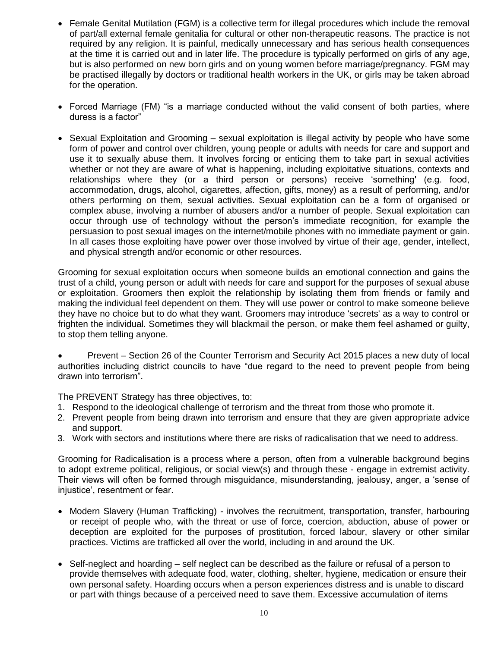- Female Genital Mutilation (FGM) is a collective term for illegal procedures which include the removal of part/all external female genitalia for cultural or other non-therapeutic reasons. The practice is not required by any religion. It is painful, medically unnecessary and has serious health consequences at the time it is carried out and in later life. The procedure is typically performed on girls of any age, but is also performed on new born girls and on young women before marriage/pregnancy. FGM may be practised illegally by doctors or traditional health workers in the UK, or girls may be taken abroad for the operation.
- Forced Marriage (FM) "is a marriage conducted without the valid consent of both parties, where duress is a factor"
- $\bullet$  Sexual Exploitation and Grooming sexual exploitation is illegal activity by people who have some form of power and control over children, young people or adults with needs for care and support and use it to sexually abuse them. It involves forcing or enticing them to take part in sexual activities whether or not they are aware of what is happening, including exploitative situations, contexts and relationships where they (or a third person or persons) receive 'something' (e.g. food, accommodation, drugs, alcohol, cigarettes, affection, gifts, money) as a result of performing, and/or others performing on them, sexual activities. Sexual exploitation can be a form of organised or complex abuse, involving a number of abusers and/or a number of people. Sexual exploitation can occur through use of technology without the person's immediate recognition, for example the persuasion to post sexual images on the internet/mobile phones with no immediate payment or gain. In all cases those exploiting have power over those involved by virtue of their age, gender, intellect, and physical strength and/or economic or other resources.

Grooming for sexual exploitation occurs when someone builds an emotional connection and gains the trust of a child, young person or adult with needs for care and support for the purposes of sexual abuse or exploitation. Groomers then exploit the relationship by isolating them from friends or family and making the individual feel dependent on them. They will use power or control to make someone believe they have no choice but to do what they want. Groomers may introduce 'secrets' as a way to control or frighten the individual. Sometimes they will blackmail the person, or make them feel ashamed or guilty, to stop them telling anyone.

 Prevent – Section 26 of the Counter Terrorism and Security Act 2015 places a new duty of local authorities including district councils to have "due regard to the need to prevent people from being drawn into terrorism".

The PREVENT Strategy has three objectives, to:

- 1. Respond to the ideological challenge of terrorism and the threat from those who promote it.
- 2. Prevent people from being drawn into terrorism and ensure that they are given appropriate advice and support.
- 3. Work with sectors and institutions where there are risks of radicalisation that we need to address.

Grooming for Radicalisation is a process where a person, often from a vulnerable background begins to adopt extreme political, religious, or social view(s) and through these - engage in extremist activity. Their views will often be formed through misguidance, misunderstanding, jealousy, anger, a 'sense of injustice', resentment or fear.

- Modern Slavery (Human Trafficking) involves the recruitment, transportation, transfer, harbouring or receipt of people who, with the threat or use of force, coercion, abduction, abuse of power or deception are exploited for the purposes of prostitution, forced labour, slavery or other similar practices. Victims are trafficked all over the world, including in and around the UK.
- Self-neglect and hoarding self neglect can be described as the failure or refusal of a person to provide themselves with adequate food, water, clothing, shelter, hygiene, medication or ensure their own personal safety. Hoarding occurs when a person experiences distress and is unable to discard or part with things because of a perceived need to save them. Excessive accumulation of items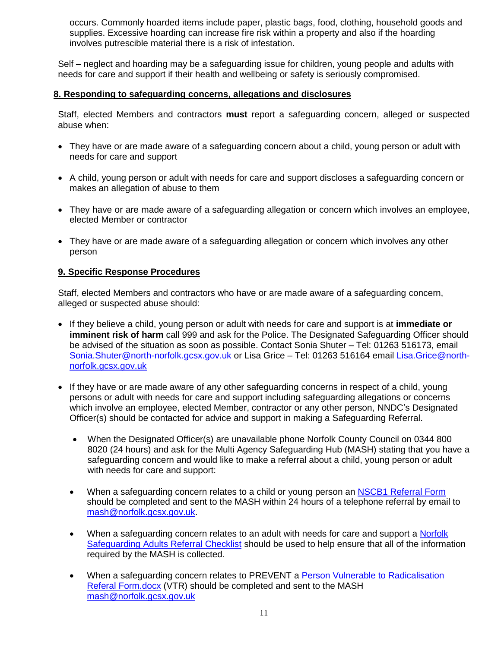occurs. Commonly hoarded items include paper, plastic bags, food, clothing, household goods and supplies. Excessive hoarding can increase fire risk within a property and also if the hoarding involves putrescible material there is a risk of infestation.

Self – neglect and hoarding may be a safeguarding issue for children, young people and adults with needs for care and support if their health and wellbeing or safety is seriously compromised.

#### **8. Responding to safeguarding concerns, allegations and disclosures**

Staff, elected Members and contractors **must** report a safeguarding concern, alleged or suspected abuse when:

- They have or are made aware of a safeguarding concern about a child, young person or adult with needs for care and support
- A child, young person or adult with needs for care and support discloses a safeguarding concern or makes an allegation of abuse to them
- They have or are made aware of a safeguarding allegation or concern which involves an employee, elected Member or contractor
- They have or are made aware of a safeguarding allegation or concern which involves any other person

#### **9. Specific Response Procedures**

Staff, elected Members and contractors who have or are made aware of a safeguarding concern, alleged or suspected abuse should:

- If they believe a child, young person or adult with needs for care and support is at **immediate or imminent risk of harm** call 999 and ask for the Police. The Designated Safeguarding Officer should be advised of the situation as soon as possible. Contact Sonia Shuter – Tel: 01263 516173, email [Sonia.Shuter@north-norfolk.gcsx.gov.uk](mailto:Sonia.Shuter@north-norfolk.gcsx.gov.uk) or Lisa Grice – Tel: 01263 516164 email [Lisa.Grice@north](mailto:Lisa.Grice@north-norfolk.gcsx.gov.uk)[norfolk.gcsx.gov.uk](mailto:Lisa.Grice@north-norfolk.gcsx.gov.uk)
- If they have or are made aware of any other safeguarding concerns in respect of a child, young persons or adult with needs for care and support including safeguarding allegations or concerns which involve an employee, elected Member, contractor or any other person, NNDC's Designated Officer(s) should be contacted for advice and support in making a Safeguarding Referral.
	- When the Designated Officer(s) are unavailable phone Norfolk County Council on 0344 800 8020 (24 hours) and ask for the Multi Agency Safeguarding Hub (MASH) stating that you have a safeguarding concern and would like to make a referral about a child, young person or adult with needs for care and support:
	- When a safeguarding concern relates to a child or young person an [NSCB1 Referral Form](http://www.north-norfolk.gov.uk/safeguarding/NSCB1.pdf) should be completed and sent to the MASH within 24 hours of a telephone referral by email to [mash@norfolk.gcsx.gov.uk.](mailto:mash@norfolk.gcsx.gov.uk)
	- When a safeguarding concern relates to an adult with needs for care and support a Norfolk [Safeguarding Adults Referral Checklist](http://www.google.co.uk/url?sa=t&rct=j&q=&esrc=s&source=web&cd=2&ved=0ahUKEwjOgN2HqP3PAhWpLsAKHf8kCqwQFggjMAE&url=http%3A%2F%2Fwww.norfolksafeguardingadultsboard.info%2Fassets%2FUploads%2FReferrers-Checklist-Append-A.doc&usg=AFQjCNF9U25XGSmWMQrM5qvFSW1Srch0WQ) should be used to help ensure that all of the information required by the MASH is collected.
	- When a safeguarding concern relates to PREVENT a [Person Vulnerable to Radicalisation](Person%20Vulnerable%20to%20Radicalisation%20Referal%20Form.docx)  [Referal Form.docx](Person%20Vulnerable%20to%20Radicalisation%20Referal%20Form.docx) (VTR) should be completed and sent to the MASH [mash@norfolk.gcsx.gov.uk](mailto:mash@norfolk.gcsx.gov.uk)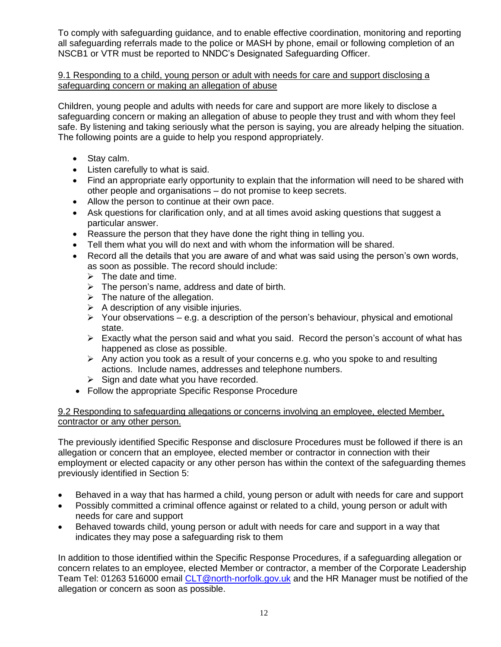To comply with safeguarding guidance, and to enable effective coordination, monitoring and reporting all safeguarding referrals made to the police or MASH by phone, email or following completion of an NSCB1 or VTR must be reported to NNDC's Designated Safeguarding Officer.

#### 9.1 Responding to a child, young person or adult with needs for care and support disclosing a safeguarding concern or making an allegation of abuse

Children, young people and adults with needs for care and support are more likely to disclose a safeguarding concern or making an allegation of abuse to people they trust and with whom they feel safe. By listening and taking seriously what the person is saying, you are already helping the situation. The following points are a guide to help you respond appropriately.

- Stay calm.
- Listen carefully to what is said.
- Find an appropriate early opportunity to explain that the information will need to be shared with other people and organisations – do not promise to keep secrets.
- Allow the person to continue at their own pace.
- Ask questions for clarification only, and at all times avoid asking questions that suggest a particular answer.
- Reassure the person that they have done the right thing in telling you.
- Tell them what you will do next and with whom the information will be shared.
- Record all the details that you are aware of and what was said using the person's own words, as soon as possible. The record should include:
	- $\triangleright$  The date and time.
	- $\triangleright$  The person's name, address and date of birth.
	- $\triangleright$  The nature of the allegation.
	- $\triangleright$  A description of any visible injuries.
	- $\triangleright$  Your observations e.g. a description of the person's behaviour, physical and emotional state.
	- $\triangleright$  Exactly what the person said and what you said. Record the person's account of what has happened as close as possible.
	- $\triangleright$  Any action you took as a result of your concerns e.g. who you spoke to and resulting actions. Include names, addresses and telephone numbers.
	- $\triangleright$  Sign and date what you have recorded.
- Follow the appropriate Specific Response Procedure

#### 9.2 Responding to safeguarding allegations or concerns involving an employee, elected Member, contractor or any other person.

The previously identified Specific Response and disclosure Procedures must be followed if there is an allegation or concern that an employee, elected member or contractor in connection with their employment or elected capacity or any other person has within the context of the safeguarding themes previously identified in Section 5:

- Behaved in a way that has harmed a child, young person or adult with needs for care and support
- Possibly committed a criminal offence against or related to a child, young person or adult with needs for care and support
- Behaved towards child, young person or adult with needs for care and support in a way that indicates they may pose a safeguarding risk to them

In addition to those identified within the Specific Response Procedures, if a safeguarding allegation or concern relates to an employee, elected Member or contractor, a member of the Corporate Leadership Team Tel: 01263 516000 email [CLT@north-norfolk.gov.uk](mailto:CLT@north-norfolk.gov.uk) and the HR Manager must be notified of the allegation or concern as soon as possible.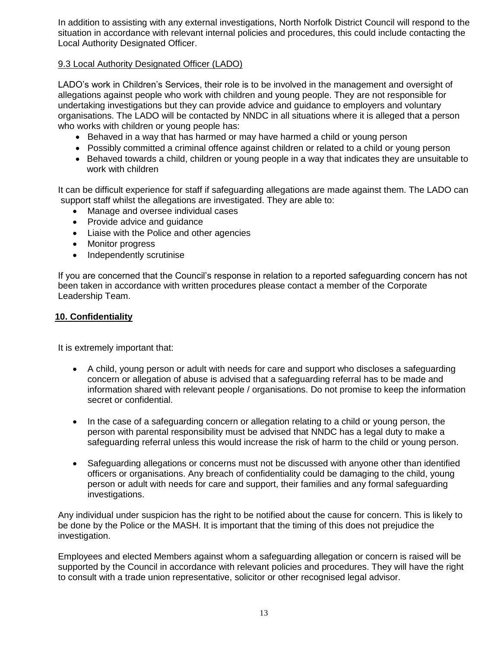In addition to assisting with any external investigations, North Norfolk District Council will respond to the situation in accordance with relevant internal policies and procedures, this could include contacting the Local Authority Designated Officer.

#### 9.3 Local Authority Designated Officer (LADO)

LADO's work in Children's Services, their role is to be involved in the management and oversight of allegations against people who work with children and young people. They are not responsible for undertaking investigations but they can provide advice and guidance to employers and voluntary organisations. The LADO will be contacted by NNDC in all situations where it is alleged that a person who works with children or young people has:

- Behaved in a way that has harmed or may have harmed a child or young person
- Possibly committed a criminal offence against children or related to a child or young person
- Behaved towards a child, children or young people in a way that indicates they are unsuitable to work with children

It can be difficult experience for staff if safeguarding allegations are made against them. The LADO can support staff whilst the allegations are investigated. They are able to:

- Manage and oversee individual cases
- Provide advice and quidance
- Liaise with the Police and other agencies
- Monitor progress
- Independently scrutinise

If you are concerned that the Council's response in relation to a reported safeguarding concern has not been taken in accordance with written procedures please contact a member of the Corporate Leadership Team.

#### **10. Confidentiality**

It is extremely important that:

- A child, young person or adult with needs for care and support who discloses a safeguarding concern or allegation of abuse is advised that a safeguarding referral has to be made and information shared with relevant people / organisations. Do not promise to keep the information secret or confidential.
- In the case of a safeguarding concern or allegation relating to a child or young person, the person with parental responsibility must be advised that NNDC has a legal duty to make a safeguarding referral unless this would increase the risk of harm to the child or young person.
- Safeguarding allegations or concerns must not be discussed with anyone other than identified officers or organisations. Any breach of confidentiality could be damaging to the child, young person or adult with needs for care and support, their families and any formal safeguarding investigations.

Any individual under suspicion has the right to be notified about the cause for concern. This is likely to be done by the Police or the MASH. It is important that the timing of this does not prejudice the investigation.

Employees and elected Members against whom a safeguarding allegation or concern is raised will be supported by the Council in accordance with relevant policies and procedures. They will have the right to consult with a trade union representative, solicitor or other recognised legal advisor.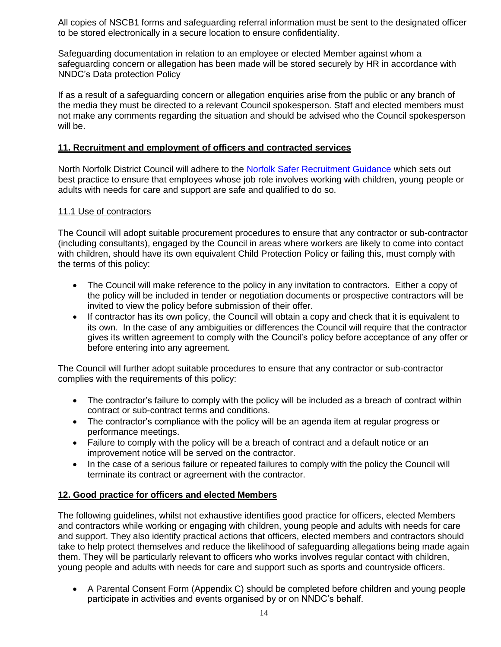All copies of NSCB1 forms and safeguarding referral information must be sent to the designated officer to be stored electronically in a secure location to ensure confidentiality.

Safeguarding documentation in relation to an employee or elected Member against whom a safeguarding concern or allegation has been made will be stored securely by HR in accordance with NNDC's Data protection Policy

If as a result of a safeguarding concern or allegation enquiries arise from the public or any branch of the media they must be directed to a relevant Council spokesperson. Staff and elected members must not make any comments regarding the situation and should be advised who the Council spokesperson will be.

#### **11. Recruitment and employment of officers and contracted services**

North Norfolk District Council will adhere to the [Norfolk Safer Recruitment Guidance](http://www.norfolklscb.org/wp-content/uploads/2015/04/Safer-Recruitment-Guidance-2013.pdf) which sets out best practice to ensure that employees whose job role involves working with children, young people or adults with needs for care and support are safe and qualified to do so.

#### 11.1 Use of contractors

The Council will adopt suitable procurement procedures to ensure that any contractor or sub-contractor (including consultants), engaged by the Council in areas where workers are likely to come into contact with children, should have its own equivalent Child Protection Policy or failing this, must comply with the terms of this policy:

- The Council will make reference to the policy in any invitation to contractors. Either a copy of the policy will be included in tender or negotiation documents or prospective contractors will be invited to view the policy before submission of their offer.
- If contractor has its own policy, the Council will obtain a copy and check that it is equivalent to its own. In the case of any ambiguities or differences the Council will require that the contractor gives its written agreement to comply with the Council's policy before acceptance of any offer or before entering into any agreement.

The Council will further adopt suitable procedures to ensure that any contractor or sub-contractor complies with the requirements of this policy:

- The contractor's failure to comply with the policy will be included as a breach of contract within contract or sub-contract terms and conditions.
- The contractor's compliance with the policy will be an agenda item at regular progress or performance meetings.
- Failure to comply with the policy will be a breach of contract and a default notice or an improvement notice will be served on the contractor.
- In the case of a serious failure or repeated failures to comply with the policy the Council will terminate its contract or agreement with the contractor.

#### **12. Good practice for officers and elected Members**

The following guidelines, whilst not exhaustive identifies good practice for officers, elected Members and contractors while working or engaging with children, young people and adults with needs for care and support. They also identify practical actions that officers, elected members and contractors should take to help protect themselves and reduce the likelihood of safeguarding allegations being made again them. They will be particularly relevant to officers who works involves regular contact with children, young people and adults with needs for care and support such as sports and countryside officers.

 A Parental Consent Form (Appendix C) should be completed before children and young people participate in activities and events organised by or on NNDC's behalf.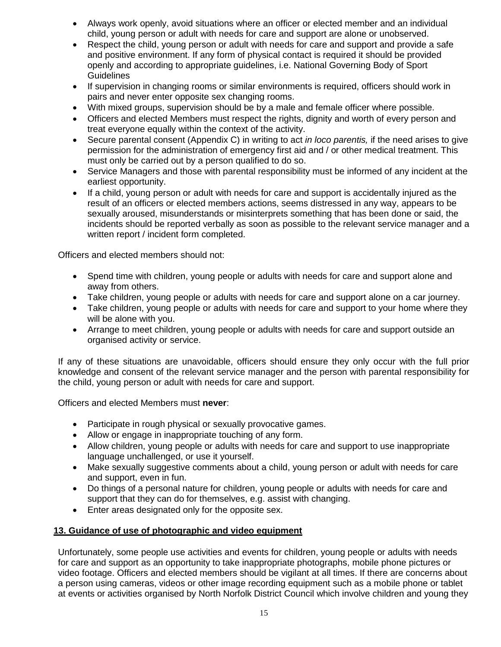- Always work openly, avoid situations where an officer or elected member and an individual child, young person or adult with needs for care and support are alone or unobserved.
- Respect the child, young person or adult with needs for care and support and provide a safe and positive environment. If any form of physical contact is required it should be provided openly and according to appropriate guidelines, i.e. National Governing Body of Sport **Guidelines**
- If supervision in changing rooms or similar environments is required, officers should work in pairs and never enter opposite sex changing rooms.
- With mixed groups, supervision should be by a male and female officer where possible.
- Officers and elected Members must respect the rights, dignity and worth of every person and treat everyone equally within the context of the activity.
- Secure parental consent (Appendix C) in writing to act *in loco parentis,* if the need arises to give permission for the administration of emergency first aid and / or other medical treatment. This must only be carried out by a person qualified to do so.
- Service Managers and those with parental responsibility must be informed of any incident at the earliest opportunity.
- If a child, young person or adult with needs for care and support is accidentally injured as the result of an officers or elected members actions, seems distressed in any way, appears to be sexually aroused, misunderstands or misinterprets something that has been done or said, the incidents should be reported verbally as soon as possible to the relevant service manager and a written report / incident form completed.

Officers and elected members should not:

- Spend time with children, young people or adults with needs for care and support alone and away from others.
- Take children, young people or adults with needs for care and support alone on a car journey.
- Take children, young people or adults with needs for care and support to your home where they will be alone with you.
- Arrange to meet children, young people or adults with needs for care and support outside an organised activity or service.

If any of these situations are unavoidable, officers should ensure they only occur with the full prior knowledge and consent of the relevant service manager and the person with parental responsibility for the child, young person or adult with needs for care and support.

Officers and elected Members must **never**:

- Participate in rough physical or sexually provocative games.
- Allow or engage in inappropriate touching of any form.
- Allow children, young people or adults with needs for care and support to use inappropriate language unchallenged, or use it yourself.
- Make sexually suggestive comments about a child, young person or adult with needs for care and support, even in fun.
- Do things of a personal nature for children, young people or adults with needs for care and support that they can do for themselves, e.g. assist with changing.
- Enter areas designated only for the opposite sex.

#### **13. Guidance of use of photographic and video equipment**

Unfortunately, some people use activities and events for children, young people or adults with needs for care and support as an opportunity to take inappropriate photographs, mobile phone pictures or video footage. Officers and elected members should be vigilant at all times. If there are concerns about a person using cameras, videos or other image recording equipment such as a mobile phone or tablet at events or activities organised by North Norfolk District Council which involve children and young they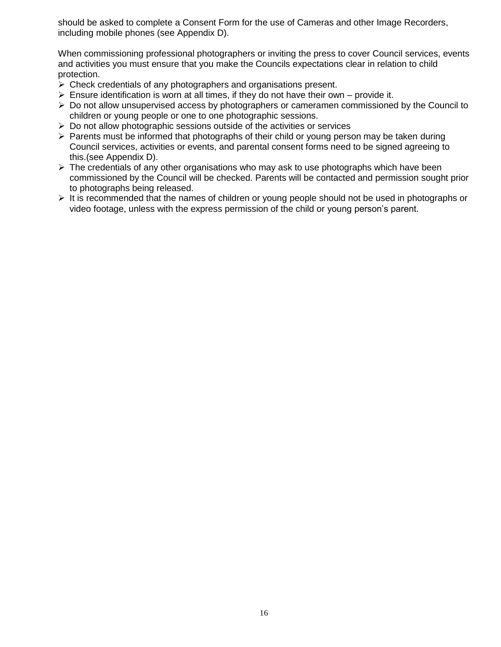should be asked to complete a Consent Form for the use of Cameras and other Image Recorders, including mobile phones (see Appendix D).

When commissioning professional photographers or inviting the press to cover Council services, events and activities you must ensure that you make the Councils expectations clear in relation to child protection.

- $\triangleright$  Check credentials of any photographers and organisations present.
- $\triangleright$  Ensure identification is worn at all times, if they do not have their own provide it.
- $\triangleright$  Do not allow unsupervised access by photographers or cameramen commissioned by the Council to children or young people or one to one photographic sessions.
- $\triangleright$  Do not allow photographic sessions outside of the activities or services
- $\triangleright$  Parents must be informed that photographs of their child or young person may be taken during Council services, activities or events, and parental consent forms need to be signed agreeing to this.(see Appendix D).
- $\triangleright$  The credentials of any other organisations who may ask to use photographs which have been commissioned by the Council will be checked. Parents will be contacted and permission sought prior to photographs being released.
- $\triangleright$  It is recommended that the names of children or young people should not be used in photographs or video footage, unless with the express permission of the child or young person's parent.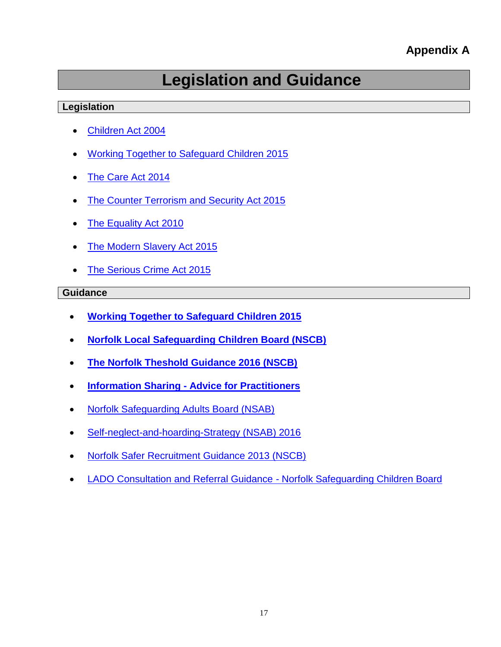#### **Appendix A**

## **Legislation and Guidance**

#### **Legislation**

- [Children Act 2004](http://www.legislation.gov.uk/ukpga/2004/31/contents)
- [Working Together to Safeguard Children 2015](https://www.gov.uk/government/publications/working-together-to-safeguard-children--2)
- [The Care Act 2014](http://www.legislation.gov.uk/ukpga/2014/23/contents/enacted)
- [The Counter Terrorism and Security Act 2015](http://www.legislation.gov.uk/ukpga/2015/6/contents)
- [The Equality Act 2010](http://www.legislation.gov.uk/ukpga/2010/15/contents)
- [The Modern Slavery Act 2015](http://www.legislation.gov.uk/ukpga/2015/30/contents/enacted)
- [The Serious Crime Act 2015](http://www.legislation.gov.uk/ukpga/2015/9/contents/enacted)

#### **Guidance**

- **[Working Together to Safeguard Children 2015](https://www.gov.uk/government/publications/working-together-to-safeguard-children--2)**
- **[Norfolk Local Safeguarding Children Board \(NSCB\)](http://www.norfolklscb.org/)**
- **[The Norfolk Theshold Guidance 2016 \(NSCB\)](file:///C:/Users/Alex.Higgs/AppData/Local/Microsoft/Windows/Temporary%20Internet%20Files/Content.Outlook/NSCB%20-%20Norfolk%20Theshold%20Guidance%202016.pdf)**
- **Information Sharing - [Advice for Practitioners](http://www.norfolklscb.org/wp-content/uploads/2015/04/Information_sharing_advice_safeguarding_practitioners-2015.pdf)**
- [Norfolk Safeguarding Adults Board \(NSAB\)](http://www.norfolksafeguardingadultsboard.info/)
- [Self-neglect-and-hoarding-Strategy \(NSAB\) 2016](file:///C:/Users/Alex.Higgs/AppData/Local/Microsoft/Windows/Temporary%20Internet%20Files/Content.Outlook/NSAB-Self-neglect-and-hoarding-Strategy-AUGUST2016-FINAL.pdf)
- [Norfolk Safer Recruitment Guidance 2013 \(NSCB\)](http://www.norfolklscb.org/wp-content/uploads/2015/04/Safer-Recruitment-Guidance-2013.pdf)
- [LADO Consultation and Referral Guidance -](http://www.norfolklscb.org/lado-consultation-and-referral-guidance/) Norfolk Safeguarding Children Board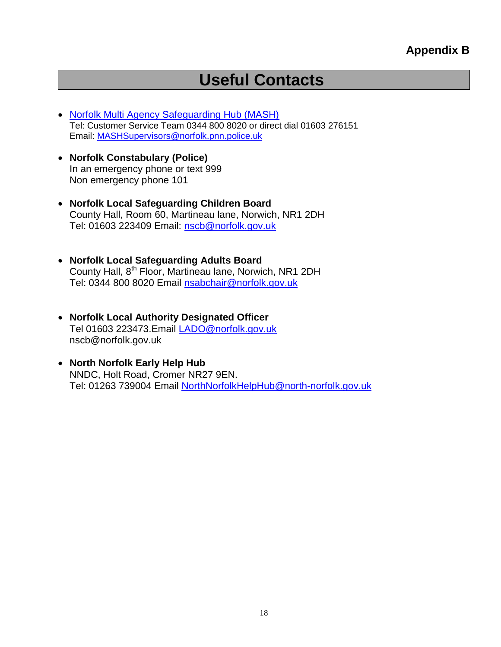### **Useful Contacts**

- [Norfolk Multi Agency Safeguarding Hub \(MASH\)](https://csapps.norfolk.gov.uk/csshared/ecourier2/fileoutput.asp?id=14224) Tel: Customer Service Team 0344 800 8020 or direct dial 01603 276151 Email: [MASHSupervisors@norfolk.pnn.police.uk](mailto:MASHSupervisors@norfolk.pnn.police.uk)
- **Norfolk Constabulary (Police)** In an emergency phone or text 999 Non emergency phone 101
- **Norfolk Local Safeguarding Children Board** County Hall, Room 60, Martineau lane, Norwich, NR1 2DH Tel: 01603 223409 Email: [nscb@norfolk.gov.uk](mailto:nscb@norfolk.gov.uk)
- **Norfolk Local Safeguarding Adults Board** County Hall, 8th Floor, Martineau lane, Norwich, NR1 2DH Tel: 0344 800 8020 Email [nsabchair@norfolk.gov.uk](mailto:nsabchair@norfolk.gov.uk)
- **Norfolk Local Authority Designated Officer** Tel 01603 223473.Email [LADO@norfolk.gov.uk](mailto:LADO@norfolk.gov.uk) nscb@norfolk.gov.uk
- **North Norfolk Early Help Hub** NNDC, Holt Road, Cromer NR27 9EN. Tel: 01263 739004 Email [NorthNorfolkHelpHub@north-norfolk.gov.uk](mailto:NorthNorfolkHelpHub@north-norfolk.gov.uk)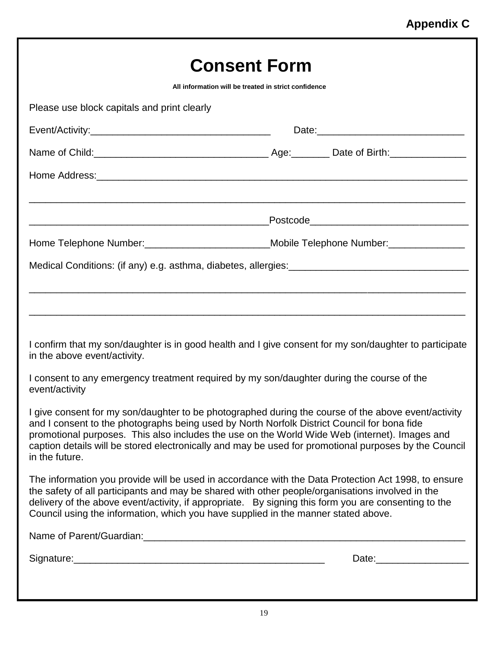| <b>Consent Form</b>                                                                                                                                                                                                                                                                                                                                                                                                                                                                                                                                                                                                                                                                                                                                                                            |  |  |  |  |
|------------------------------------------------------------------------------------------------------------------------------------------------------------------------------------------------------------------------------------------------------------------------------------------------------------------------------------------------------------------------------------------------------------------------------------------------------------------------------------------------------------------------------------------------------------------------------------------------------------------------------------------------------------------------------------------------------------------------------------------------------------------------------------------------|--|--|--|--|
| All information will be treated in strict confidence                                                                                                                                                                                                                                                                                                                                                                                                                                                                                                                                                                                                                                                                                                                                           |  |  |  |  |
| Please use block capitals and print clearly                                                                                                                                                                                                                                                                                                                                                                                                                                                                                                                                                                                                                                                                                                                                                    |  |  |  |  |
|                                                                                                                                                                                                                                                                                                                                                                                                                                                                                                                                                                                                                                                                                                                                                                                                |  |  |  |  |
|                                                                                                                                                                                                                                                                                                                                                                                                                                                                                                                                                                                                                                                                                                                                                                                                |  |  |  |  |
|                                                                                                                                                                                                                                                                                                                                                                                                                                                                                                                                                                                                                                                                                                                                                                                                |  |  |  |  |
|                                                                                                                                                                                                                                                                                                                                                                                                                                                                                                                                                                                                                                                                                                                                                                                                |  |  |  |  |
| Home Telephone Number: ____________________________Mobile Telephone Number: ________________                                                                                                                                                                                                                                                                                                                                                                                                                                                                                                                                                                                                                                                                                                   |  |  |  |  |
|                                                                                                                                                                                                                                                                                                                                                                                                                                                                                                                                                                                                                                                                                                                                                                                                |  |  |  |  |
| I confirm that my son/daughter is in good health and I give consent for my son/daughter to participate<br>in the above event/activity.<br>I consent to any emergency treatment required by my son/daughter during the course of the<br>event/activity<br>I give consent for my son/daughter to be photographed during the course of the above event/activity<br>and I consent to the photographs being used by North Norfolk District Council for bona fide<br>promotional purposes. This also includes the use on the World Wide Web (internet). Images and<br>caption details will be stored electronically and may be used for promotional purposes by the Council<br>in the future.<br>The information you provide will be used in accordance with the Data Protection Act 1998, to ensure |  |  |  |  |
| the safety of all participants and may be shared with other people/organisations involved in the<br>delivery of the above event/activity, if appropriate. By signing this form you are consenting to the<br>Council using the information, which you have supplied in the manner stated above.                                                                                                                                                                                                                                                                                                                                                                                                                                                                                                 |  |  |  |  |
|                                                                                                                                                                                                                                                                                                                                                                                                                                                                                                                                                                                                                                                                                                                                                                                                |  |  |  |  |
|                                                                                                                                                                                                                                                                                                                                                                                                                                                                                                                                                                                                                                                                                                                                                                                                |  |  |  |  |
|                                                                                                                                                                                                                                                                                                                                                                                                                                                                                                                                                                                                                                                                                                                                                                                                |  |  |  |  |